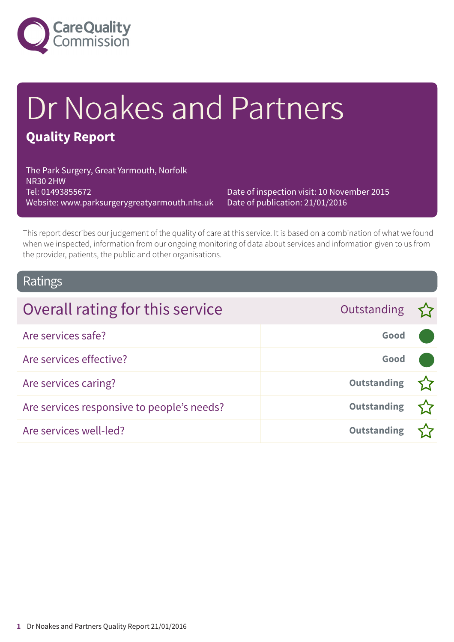

# Dr Noakes and Partners

### **Quality Report**

The Park Surgery, Great Yarmouth, Norfolk NR30 2HW Tel: 01493855672 Website: www.parksurgerygreatyarmouth.nhs.uk

Date of inspection visit: 10 November 2015 Date of publication: 21/01/2016

This report describes our judgement of the quality of care at this service. It is based on a combination of what we found when we inspected, information from our ongoing monitoring of data about services and information given to us from the provider, patients, the public and other organisations.

### Ratings

| Overall rating for this service            | Outstanding 5      |  |
|--------------------------------------------|--------------------|--|
| Are services safe?                         | Good               |  |
| Are services effective?                    | Good               |  |
| Are services caring?                       | <b>Outstanding</b> |  |
| Are services responsive to people's needs? | <b>Outstanding</b> |  |
| Are services well-led?                     | <b>Outstanding</b> |  |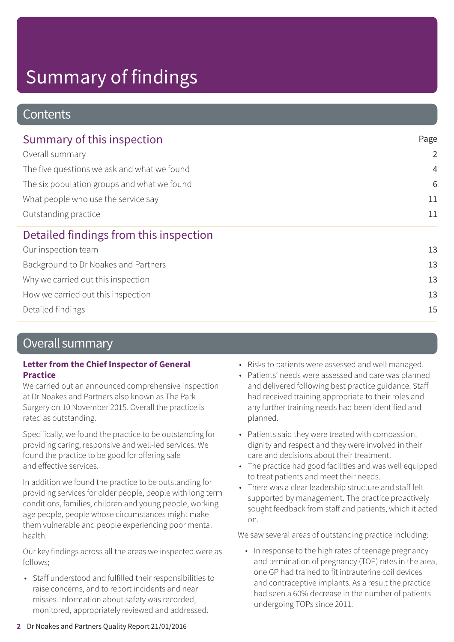### **Contents**

| Summary of this inspection                  | Page<br>$\overline{2}$ |
|---------------------------------------------|------------------------|
| Overall summary                             |                        |
| The five questions we ask and what we found | $\overline{4}$         |
| The six population groups and what we found | 6                      |
| What people who use the service say         | 11                     |
| Outstanding practice                        | 11                     |
| Detailed findings from this inspection      |                        |
| Our inspection team                         | 13                     |
| Background to Dr Noakes and Partners        | 13                     |
| Why we carried out this inspection          | 13                     |
| How we carried out this inspection          | 13                     |
| Detailed findings                           | 15                     |

### Overall summary

### **Letter from the Chief Inspector of General Practice**

We carried out an announced comprehensive inspection at Dr Noakes and Partners also known as The Park Surgery on 10 November 2015. Overall the practice is rated as outstanding.

Specifically, we found the practice to be outstanding for providing caring, responsive and well-led services. We found the practice to be good for offering safe and effective services.

In addition we found the practice to be outstanding for providing services for older people, people with long term conditions, families, children and young people, working age people, people whose circumstances might make them vulnerable and people experiencing poor mental health.

Our key findings across all the areas we inspected were as follows;

• Staff understood and fulfilled their responsibilities to raise concerns, and to report incidents and near misses. Information about safety was recorded, monitored, appropriately reviewed and addressed.

- Risks to patients were assessed and well managed.
- Patients' needs were assessed and care was planned and delivered following best practice guidance. Staff had received training appropriate to their roles and any further training needs had been identified and planned.
- Patients said they were treated with compassion, dignity and respect and they were involved in their care and decisions about their treatment.
- The practice had good facilities and was well equipped to treat patients and meet their needs.
- There was a clear leadership structure and staff felt supported by management. The practice proactively sought feedback from staff and patients, which it acted on.

We saw several areas of outstanding practice including:

• In response to the high rates of teenage pregnancy and termination of pregnancy (TOP) rates in the area, one GP had trained to fit intrauterine coil devices and contraceptive implants. As a result the practice had seen a 60% decrease in the number of patients undergoing TOPs since 2011.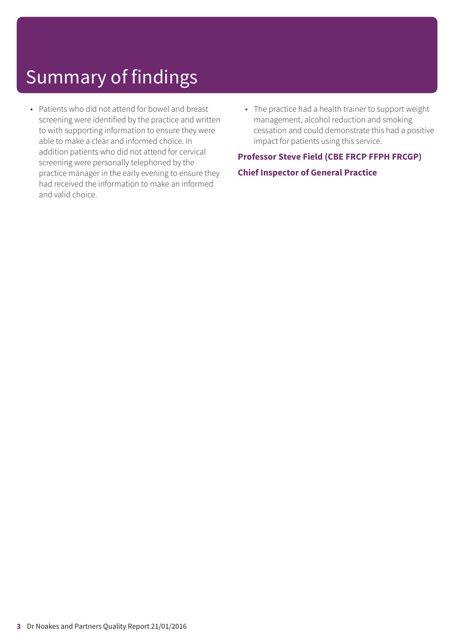- Patients who did not attend for bowel and breast screening were identified by the practice and written to with supporting information to ensure they were able to make a clear and informed choice. In addition patients who did not attend for cervical screening were personally telephoned by the practice manager in the early evening to ensure they had received the information to make an informed and valid choice.
- The practice had a health trainer to support weight management, alcohol reduction and smoking cessation and could demonstrate this had a positive impact for patients using this service.

### **Professor Steve Field (CBE FRCP FFPH FRCGP) Chief Inspector of General Practice**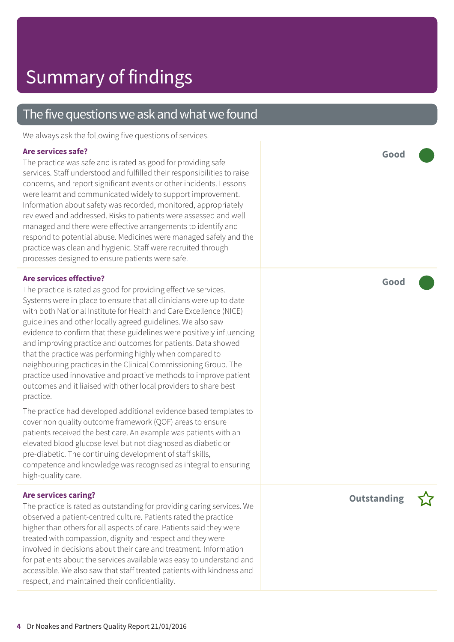### The five questions we ask and what we found

We always ask the following five questions of services.

#### **Are services safe?**

The practice was safe and is rated as good for providing safe services. Staff understood and fulfilled their responsibilities to raise concerns, and report significant events or other incidents. Lessons were learnt and communicated widely to support improvement. Information about safety was recorded, monitored, appropriately reviewed and addressed. Risks to patients were assessed and well managed and there were effective arrangements to identify and respond to potential abuse. Medicines were managed safely and the practice was clean and hygienic. Staff were recruited through processes designed to ensure patients were safe.

### **Are services effective?**

The practice is rated as good for providing effective services. Systems were in place to ensure that all clinicians were up to date with both National Institute for Health and Care Excellence (NICE) guidelines and other locally agreed guidelines. We also saw evidence to confirm that these guidelines were positively influencing and improving practice and outcomes for patients. Data showed that the practice was performing highly when compared to neighbouring practices in the Clinical Commissioning Group. The practice used innovative and proactive methods to improve patient outcomes and it liaised with other local providers to share best practice.

The practice had developed additional evidence based templates to cover non quality outcome framework (QOF) areas to ensure patients received the best care. An example was patients with an elevated blood glucose level but not diagnosed as diabetic or pre-diabetic. The continuing development of staff skills, competence and knowledge was recognised as integral to ensuring high-quality care.

### **Are services caring?**

The practice is rated as outstanding for providing caring services. We observed a patient-centred culture. Patients rated the practice higher than others for all aspects of care. Patients said they were treated with compassion, dignity and respect and they were involved in decisions about their care and treatment. Information for patients about the services available was easy to understand and accessible. We also saw that staff treated patients with kindness and respect, and maintained their confidentiality.

**Good –––**

**Good –––**

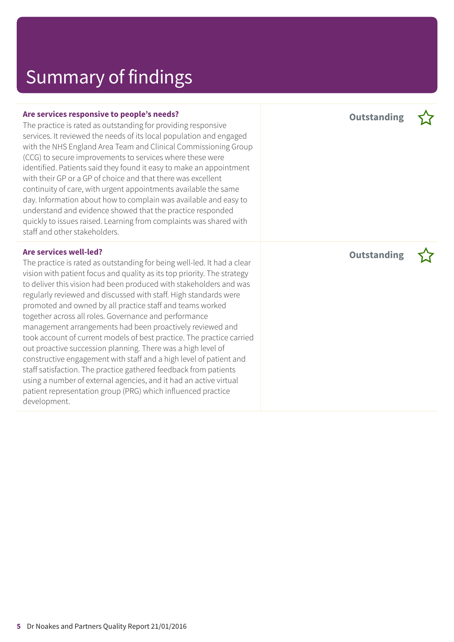The practice is rated as outstanding for providing responsive services. It reviewed the needs of its local population and engaged with the NHS England Area Team and Clinical Commissioning Group (CCG) to secure improvements to services where these were identified. Patients said they found it easy to make an appointment with their GP or a GP of choice and that there was excellent continuity of care, with urgent appointments available the same day. Information about how to complain was available and easy to understand and evidence showed that the practice responded quickly to issues raised. Learning from complaints was shared with staff and other stakeholders.

#### **Are services well-led?**

The practice is rated as outstanding for being well-led. It had a clear vision with patient focus and quality as its top priority. The strategy to deliver this vision had been produced with stakeholders and was regularly reviewed and discussed with staff. High standards were promoted and owned by all practice staff and teams worked together across all roles. Governance and performance management arrangements had been proactively reviewed and took account of current models of best practice. The practice carried out proactive succession planning. There was a high level of constructive engagement with staff and a high level of patient and staff satisfaction. The practice gathered feedback from patients using a number of external agencies, and it had an active virtual patient representation group (PRG) which influenced practice development.

**Outstanding –**

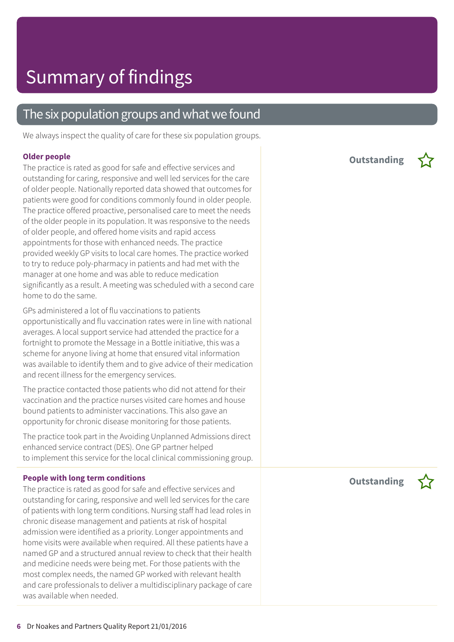### The six population groups and what we found

We always inspect the quality of care for these six population groups.

#### **Older people**

The practice is rated as good for safe and effective services and outstanding for caring, responsive and well led services for the care of older people. Nationally reported data showed that outcomes for patients were good for conditions commonly found in older people. The practice offered proactive, personalised care to meet the needs of the older people in its population. It was responsive to the needs of older people, and offered home visits and rapid access appointments for those with enhanced needs. The practice provided weekly GP visits to local care homes. The practice worked to try to reduce poly-pharmacy in patients and had met with the manager at one home and was able to reduce medication significantly as a result. A meeting was scheduled with a second care home to do the same.

GPs administered a lot of flu vaccinations to patients opportunistically and flu vaccination rates were in line with national averages. A local support service had attended the practice for a fortnight to promote the Message in a Bottle initiative, this was a scheme for anyone living at home that ensured vital information was available to identify them and to give advice of their medication and recent illness for the emergency services.

The practice contacted those patients who did not attend for their vaccination and the practice nurses visited care homes and house bound patients to administer vaccinations. This also gave an opportunity for chronic disease monitoring for those patients.

The practice took part in the Avoiding Unplanned Admissions direct enhanced service contract (DES). One GP partner helped to implement this service for the local clinical commissioning group.

#### **People with long term conditions**

The practice is rated as good for safe and effective services and outstanding for caring, responsive and well led services for the care of patients with long term conditions. Nursing staff had lead roles in chronic disease management and patients at risk of hospital admission were identified as a priority. Longer appointments and home visits were available when required. All these patients have a named GP and a structured annual review to check that their health and medicine needs were being met. For those patients with the most complex needs, the named GP worked with relevant health and care professionals to deliver a multidisciplinary package of care was available when needed.

**Outstanding –**



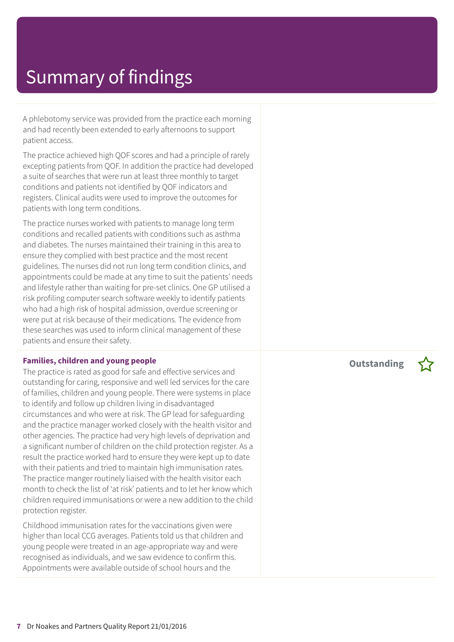A phlebotomy service was provided from the practice each morning and had recently been extended to early afternoons to support patient access.

The practice achieved high QOF scores and had a principle of rarely excepting patients from QOF. In addition the practice had developed a suite of searches that were run at least three monthly to target conditions and patients not identified by QOF indicators and registers. Clinical audits were used to improve the outcomes for patients with long term conditions.

The practice nurses worked with patients to manage long term conditions and recalled patients with conditions such as asthma and diabetes. The nurses maintained their training in this area to ensure they complied with best practice and the most recent guidelines. The nurses did not run long term condition clinics, and appointments could be made at any time to suit the patients' needs and lifestyle rather than waiting for pre-set clinics. One GP utilised a risk profiling computer search software weekly to identify patients who had a high risk of hospital admission, overdue screening or were put at risk because of their medications. The evidence from these searches was used to inform clinical management of these patients and ensure their safety.

#### **Families, children and young people**

The practice is rated as good for safe and effective services and outstanding for caring, responsive and well led services for the care of families, children and young people. There were systems in place to identify and follow up children living in disadvantaged circumstances and who were at risk. The GP lead for safeguarding and the practice manager worked closely with the health visitor and other agencies. The practice had very high levels of deprivation and a significant number of children on the child protection register. As a result the practice worked hard to ensure they were kept up to date with their patients and tried to maintain high immunisation rates. The practice manger routinely liaised with the health visitor each month to check the list of 'at risk' patients and to let her know which children required immunisations or were a new addition to the child protection register.

Childhood immunisation rates for the vaccinations given were higher than local CCG averages. Patients told us that children and young people were treated in an age-appropriate way and were recognised as individuals, and we saw evidence to confirm this. Appointments were available outside of school hours and the

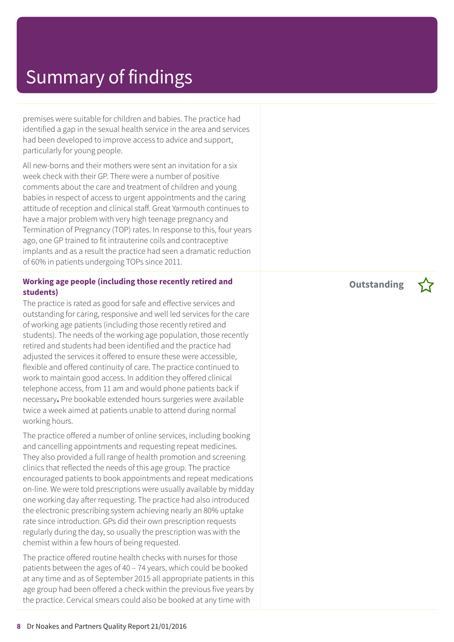premises were suitable for children and babies. The practice had identified a gap in the sexual health service in the area and services had been developed to improve access to advice and support, particularly for young people.

All new-borns and their mothers were sent an invitation for a six week check with their GP. There were a number of positive comments about the care and treatment of children and young babies in respect of access to urgent appointments and the caring attitude of reception and clinical staff. Great Yarmouth continues to have a major problem with very high teenage pregnancy and Termination of Pregnancy (TOP) rates. In response to this, four years ago, one GP trained to fit intrauterine coils and contraceptive implants and as a result the practice had seen a dramatic reduction of 60% in patients undergoing TOPs since 2011.

### **Working age people (including those recently retired and students)**

The practice is rated as good for safe and effective services and outstanding for caring, responsive and well led services for the care of working age patients (including those recently retired and students). The needs of the working age population, those recently retired and students had been identified and the practice had adiusted the services it offered to ensure these were accessible, flexible and offered continuity of care. The practice continued to work to maintain good access. In addition they offered clinical telephone access, from 11 am and would phone patients back if necessary**.** Pre bookable extended hours surgeries were available twice a week aimed at patients unable to attend during normal working hours.

The practice offered a number of online services, including booking and cancelling appointments and requesting repeat medicines. They also provided a full range of health promotion and screening clinics that reflected the needs of this age group. The practice encouraged patients to book appointments and repeat medications on-line. We were told prescriptions were usually available by midday one working day after requesting. The practice had also introduced the electronic prescribing system achieving nearly an 80% uptake rate since introduction. GPs did their own prescription requests regularly during the day, so usually the prescription was with the chemist within a few hours of being requested.

The practice offered routine health checks with nurses for those patients between the ages of 40 – 74 years, which could be booked at any time and as of September 2015 all appropriate patients in this age group had been offered a check within the previous five years by the practice. Cervical smears could also be booked at any time with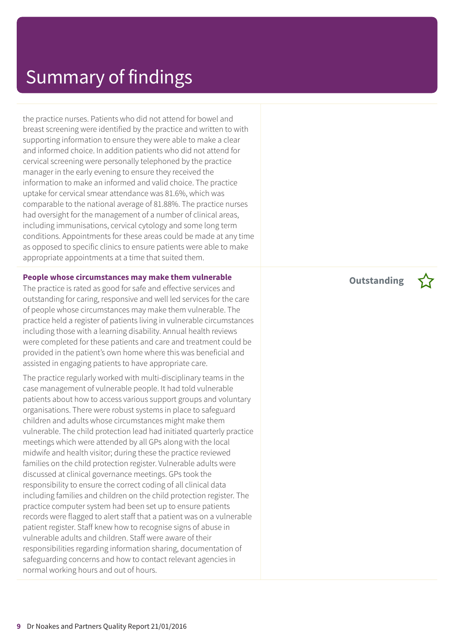the practice nurses. Patients who did not attend for bowel and breast screening were identified by the practice and written to with supporting information to ensure they were able to make a clear and informed choice. In addition patients who did not attend for cervical screening were personally telephoned by the practice manager in the early evening to ensure they received the information to make an informed and valid choice. The practice uptake for cervical smear attendance was 81.6%, which was comparable to the national average of 81.88%. The practice nurses had oversight for the management of a number of clinical areas, including immunisations, cervical cytology and some long term conditions. Appointments for these areas could be made at any time as opposed to specific clinics to ensure patients were able to make appropriate appointments at a time that suited them.

#### **People whose circumstances may make them vulnerable**

The practice is rated as good for safe and effective services and outstanding for caring, responsive and well led services for the care of people whose circumstances may make them vulnerable. The practice held a register of patients living in vulnerable circumstances including those with a learning disability. Annual health reviews were completed for these patients and care and treatment could be provided in the patient's own home where this was beneficial and assisted in engaging patients to have appropriate care.

The practice regularly worked with multi-disciplinary teams in the case management of vulnerable people. It had told vulnerable patients about how to access various support groups and voluntary organisations. There were robust systems in place to safeguard children and adults whose circumstances might make them vulnerable. The child protection lead had initiated quarterly practice meetings which were attended by all GPs along with the local midwife and health visitor; during these the practice reviewed families on the child protection register. Vulnerable adults were discussed at clinical governance meetings. GPs took the responsibility to ensure the correct coding of all clinical data including families and children on the child protection register. The practice computer system had been set up to ensure patients records were flagged to alert staff that a patient was on a vulnerable patient register. Staff knew how to recognise signs of abuse in vulnerable adults and children. Staff were aware of their responsibilities regarding information sharing, documentation of safeguarding concerns and how to contact relevant agencies in normal working hours and out of hours.

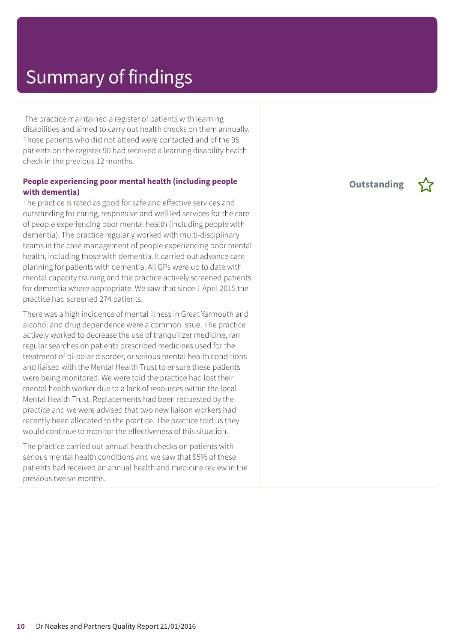The practice maintained a register of patients with learning disabilities and aimed to carry out health checks on them annually. Those patients who did not attend were contacted and of the 95 patients on the register 90 had received a learning disability health check in the previous 12 months.

### **People experiencing poor mental health (including people with dementia)**

The practice is rated as good for safe and effective services and outstanding for caring, responsive and well led services for the care of people experiencing poor mental health (including people with dementia). The practice regularly worked with multi-disciplinary teams in the case management of people experiencing poor mental health, including those with dementia. It carried out advance care planning for patients with dementia. All GPs were up to date with mental capacity training and the practice actively screened patients for dementia where appropriate. We saw that since 1 April 2015 the practice had screened 274 patients.

There was a high incidence of mental illness in Great Yarmouth and alcohol and drug dependence were a common issue. The practice actively worked to decrease the use of tranquilizer medicine, ran regular searches on patients prescribed medicines used for the treatment of bi-polar disorder, or serious mental health conditions and liaised with the Mental Health Trust to ensure these patients were being monitored. We were told the practice had lost their mental health worker due to a lack of resources within the local Mental Health Trust. Replacements had been requested by the practice and we were advised that two new liaison workers had recently been allocated to the practice. The practice told us they would continue to monitor the effectiveness of this situation.

The practice carried out annual health checks on patients with serious mental health conditions and we saw that 95% of these patients had received an annual health and medicine review in the previous twelve months.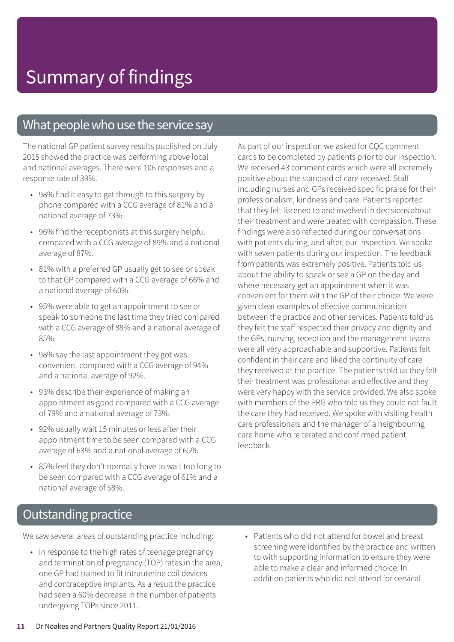### What people who use the service say

The national GP patient survey results published on July 2015 showed the practice was performing above local and national averages. There were 106 responses and a response rate of 39%.

- 98% find it easy to get through to this surgery by phone compared with a CCG average of 81% and a national average of 73%.
- 96% find the receptionists at this surgery helpful compared with a CCG average of 89% and a national average of 87%.
- 81% with a preferred GP usually get to see or speak to that GP compared with a CCG average of 66% and a national average of 60%.
- 95% were able to get an appointment to see or speak to someone the last time they tried compared with a CCG average of 88% and a national average of 85%.
- 98% say the last appointment they got was convenient compared with a CCG average of 94% and a national average of 92%.
- 93% describe their experience of making an appointment as good compared with a CCG average of 79% and a national average of 73%.
- 92% usually wait 15 minutes or less after their appointment time to be seen compared with a CCG average of 63% and a national average of 65%.
- 85% feel they don't normally have to wait too long to be seen compared with a CCG average of 61% and a national average of 58%.

As part of our inspection we asked for CQC comment cards to be completed by patients prior to our inspection. We received 43 comment cards which were all extremely positive about the standard of care received. Staff including nurses and GPs received specific praise for their professionalism, kindness and care. Patients reported that they felt listened to and involved in decisions about their treatment and were treated with compassion. These findings were also reflected during our conversations with patients during, and after, our inspection. We spoke with seven patients during our inspection. The feedback from patients was extremely positive. Patients told us about the ability to speak or see a GP on the day and where necessary get an appointment when it was convenient for them with the GP of their choice. We were given clear examples of effective communication between the practice and other services. Patients told us they felt the staff respected their privacy and dignity and the GPs, nursing, reception and the management teams were all very approachable and supportive. Patients felt confident in their care and liked the continuity of care they received at the practice. The patients told us they felt their treatment was professional and effective and they were very happy with the service provided. We also spoke with members of the PRG who told us they could not fault the care they had received. We spoke with visiting health care professionals and the manager of a neighbouring care home who reiterated and confirmed patient feedback.

### **Outstanding practice**

We saw several areas of outstanding practice including:

- In response to the high rates of teenage pregnancy and termination of pregnancy (TOP) rates in the area, one GP had trained to fit intrauterine coil devices and contraceptive implants. As a result the practice had seen a 60% decrease in the number of patients undergoing TOPs since 2011.
- Patients who did not attend for bowel and breast screening were identified by the practice and written to with supporting information to ensure they were able to make a clear and informed choice. In addition patients who did not attend for cervical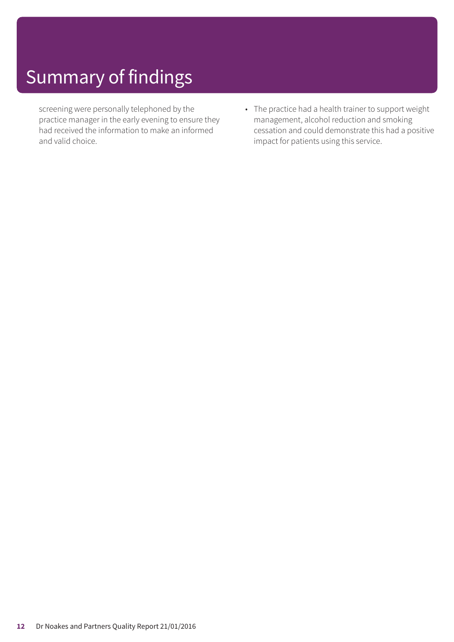screening were personally telephoned by the practice manager in the early evening to ensure they had received the information to make an informed and valid choice.

• The practice had a health trainer to support weight management, alcohol reduction and smoking cessation and could demonstrate this had a positive impact for patients using this service.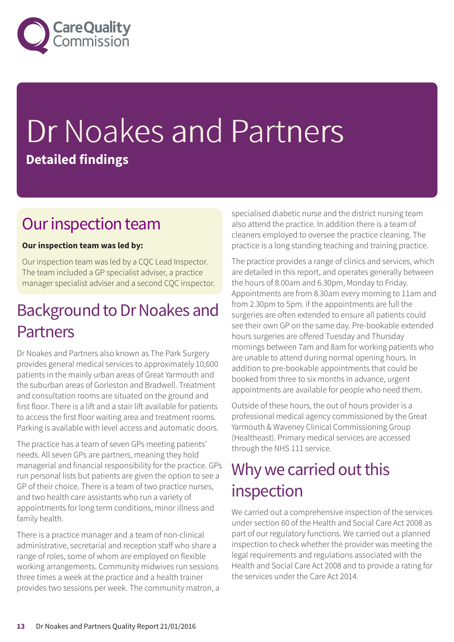

## Dr Noakes and Partners **Detailed findings**

### Our inspection team

### **Our inspection team was led by:**

Our inspection team was led by a CQC Lead Inspector. The team included a GP specialist adviser, a practice manager specialist adviser and a second CQC inspector.

### Background to Dr Noakes and Partners

Dr Noakes and Partners also known as The Park Surgery provides general medical services to approximately 10,600 patients in the mainly urban areas of Great Yarmouth and the suburban areas of Gorleston and Bradwell. Treatment and consultation rooms are situated on the ground and first floor. There is a lift and a stair lift available for patients to access the first floor waiting area and treatment rooms. Parking is available with level access and automatic doors.

The practice has a team of seven GPs meeting patients' needs. All seven GPs are partners, meaning they hold managerial and financial responsibility for the practice. GPs run personal lists but patients are given the option to see a GP of their choice. There is a team of two practice nurses, and two health care assistants who run a variety of appointments for long term conditions, minor illness and family health.

There is a practice manager and a team of non-clinical administrative, secretarial and reception staff who share a range of roles, some of whom are employed on flexible working arrangements. Community midwives run sessions three times a week at the practice and a health trainer provides two sessions per week. The community matron, a specialised diabetic nurse and the district nursing team also attend the practice. In addition there is a team of cleaners employed to oversee the practice cleaning. The practice is a long standing teaching and training practice.

The practice provides a range of clinics and services, which are detailed in this report, and operates generally between the hours of 8.00am and 6.30pm, Monday to Friday. Appointments are from 8.30am every morning to 11am and from 2.30pm to 5pm. if the appointments are full the surgeries are often extended to ensure all patients could see their own GP on the same day. Pre-bookable extended hours surgeries are offered Tuesday and Thursday mornings between 7am and 8am for working patients who are unable to attend during normal opening hours. In addition to pre-bookable appointments that could be booked from three to six months in advance, urgent appointments are available for people who need them.

Outside of these hours, the out of hours provider is a professional medical agency commissioned by the Great Yarmouth & Waveney Clinical Commissioning Group (Healtheast). Primary medical services are accessed through the NHS 111 service.

### Why we carried out this inspection

We carried out a comprehensive inspection of the services under section 60 of the Health and Social Care Act 2008 as part of our regulatory functions. We carried out a planned inspection to check whether the provider was meeting the legal requirements and regulations associated with the Health and Social Care Act 2008 and to provide a rating for the services under the Care Act 2014.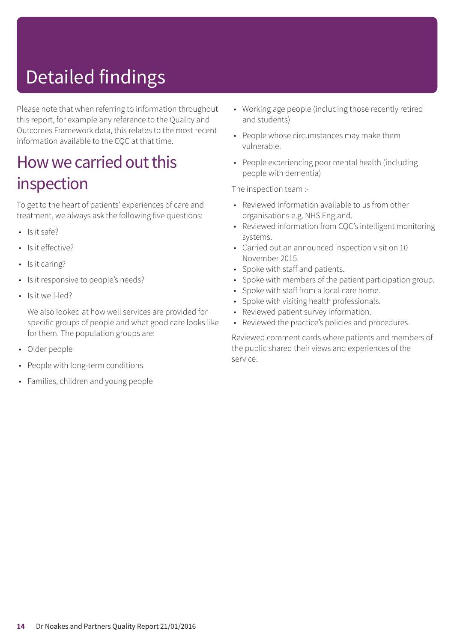## Detailed findings

Please note that when referring to information throughout this report, for example any reference to the Quality and Outcomes Framework data, this relates to the most recent information available to the CQC at that time.

### How we carried out this inspection

To get to the heart of patients' experiences of care and treatment, we always ask the following five questions:

- $\cdot$  Is it safe?
- Is it effective?
- Is it caring?
- Is it responsive to people's needs?
- Is it well-led?

We also looked at how well services are provided for specific groups of people and what good care looks like for them. The population groups are:

- Older people
- People with long-term conditions
- Families, children and young people
- Working age people (including those recently retired and students)
- People whose circumstances may make them vulnerable.
- People experiencing poor mental health (including people with dementia)

The inspection team :-

- Reviewed information available to us from other organisations e.g. NHS England.
- Reviewed information from CQC's intelligent monitoring systems.
- Carried out an announced inspection visit on 10 November 2015.
- Spoke with staff and patients.
- Spoke with members of the patient participation group.
- Spoke with staff from a local care home.
- Spoke with visiting health professionals.
- Reviewed patient survey information.
- Reviewed the practice's policies and procedures.

Reviewed comment cards where patients and members of the public shared their views and experiences of the service.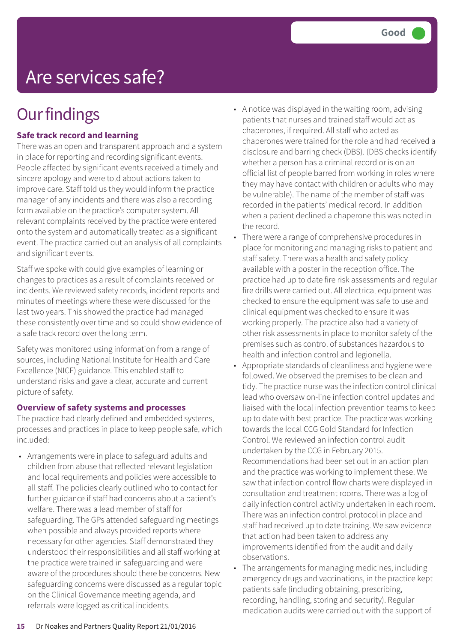## Are services safe?

## **Our findings**

### **Safe track record and learning**

There was an open and transparent approach and a system in place for reporting and recording significant events. People affected by significant events received a timely and sincere apology and were told about actions taken to improve care. Staff told us they would inform the practice manager of any incidents and there was also a recording form available on the practice's computer system. All relevant complaints received by the practice were entered onto the system and automatically treated as a significant event. The practice carried out an analysis of all complaints and significant events.

Staff we spoke with could give examples of learning or changes to practices as a result of complaints received or incidents. We reviewed safety records, incident reports and minutes of meetings where these were discussed for the last two years. This showed the practice had managed these consistently over time and so could show evidence of a safe track record over the long term.

Safety was monitored using information from a range of sources, including National Institute for Health and Care Excellence (NICE) guidance. This enabled staff to understand risks and gave a clear, accurate and current picture of safety.

### **Overview of safety systems and processes**

The practice had clearly defined and embedded systems, processes and practices in place to keep people safe, which included:

• Arrangements were in place to safeguard adults and children from abuse that reflected relevant legislation and local requirements and policies were accessible to all staff. The policies clearly outlined who to contact for further guidance if staff had concerns about a patient's welfare. There was a lead member of staff for safeguarding. The GPs attended safeguarding meetings when possible and always provided reports where necessary for other agencies. Staff demonstrated they understood their responsibilities and all staff working at the practice were trained in safeguarding and were aware of the procedures should there be concerns. New safeguarding concerns were discussed as a regular topic on the Clinical Governance meeting agenda, and referrals were logged as critical incidents.

- A notice was displayed in the waiting room, advising patients that nurses and trained staff would act as chaperones, if required. All staff who acted as chaperones were trained for the role and had received a disclosure and barring check (DBS). (DBS checks identify whether a person has a criminal record or is on an official list of people barred from working in roles where they may have contact with children or adults who may be vulnerable). The name of the member of staff was recorded in the patients' medical record. In addition when a patient declined a chaperone this was noted in the record.
- There were a range of comprehensive procedures in place for monitoring and managing risks to patient and staff safety. There was a health and safety policy available with a poster in the reception office. The practice had up to date fire risk assessments and regular fire drills were carried out. All electrical equipment was checked to ensure the equipment was safe to use and clinical equipment was checked to ensure it was working properly. The practice also had a variety of other risk assessments in place to monitor safety of the premises such as control of substances hazardous to health and infection control and legionella.
- Appropriate standards of cleanliness and hygiene were followed. We observed the premises to be clean and tidy. The practice nurse was the infection control clinical lead who oversaw on-line infection control updates and liaised with the local infection prevention teams to keep up to date with best practice. The practice was working towards the local CCG Gold Standard for Infection Control. We reviewed an infection control audit undertaken by the CCG in February 2015. Recommendations had been set out in an action plan and the practice was working to implement these. We saw that infection control flow charts were displayed in consultation and treatment rooms. There was a log of daily infection control activity undertaken in each room. There was an infection control protocol in place and staff had received up to date training. We saw evidence that action had been taken to address any improvements identified from the audit and daily observations.
- The arrangements for managing medicines, including emergency drugs and vaccinations, in the practice kept patients safe (including obtaining, prescribing, recording, handling, storing and security). Regular medication audits were carried out with the support of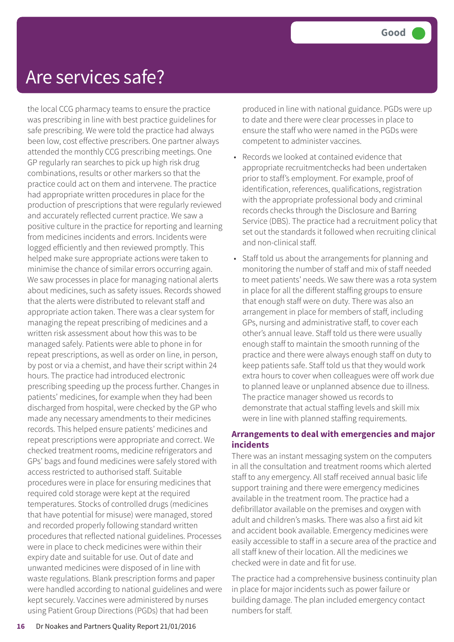### Are services safe?

the local CCG pharmacy teams to ensure the practice was prescribing in line with best practice guidelines for safe prescribing. We were told the practice had always been low, cost effective prescribers. One partner always attended the monthly CCG prescribing meetings. One GP regularly ran searches to pick up high risk drug combinations, results or other markers so that the practice could act on them and intervene. The practice had appropriate written procedures in place for the production of prescriptions that were regularly reviewed and accurately reflected current practice. We saw a positive culture in the practice for reporting and learning from medicines incidents and errors. Incidents were logged efficiently and then reviewed promptly. This helped make sure appropriate actions were taken to minimise the chance of similar errors occurring again. We saw processes in place for managing national alerts about medicines, such as safety issues. Records showed that the alerts were distributed to relevant staff and appropriate action taken. There was a clear system for managing the repeat prescribing of medicines and a written risk assessment about how this was to be managed safely. Patients were able to phone in for repeat prescriptions, as well as order on line, in person, by post or via a chemist, and have their script within 24 hours. The practice had introduced electronic prescribing speeding up the process further. Changes in patients' medicines, for example when they had been discharged from hospital, were checked by the GP who made any necessary amendments to their medicines records. This helped ensure patients' medicines and repeat prescriptions were appropriate and correct. We checked treatment rooms, medicine refrigerators and GPs' bags and found medicines were safely stored with access restricted to authorised staff. Suitable procedures were in place for ensuring medicines that required cold storage were kept at the required temperatures. Stocks of controlled drugs (medicines that have potential for misuse) were managed, stored and recorded properly following standard written procedures that reflected national guidelines. Processes were in place to check medicines were within their expiry date and suitable for use. Out of date and unwanted medicines were disposed of in line with waste regulations. Blank prescription forms and paper were handled according to national guidelines and were kept securely. Vaccines were administered by nurses using Patient Group Directions (PGDs) that had been

produced in line with national guidance. PGDs were up to date and there were clear processes in place to ensure the staff who were named in the PGDs were competent to administer vaccines.

- Records we looked at contained evidence that appropriate recruitmentchecks had been undertaken prior to staff's employment. For example, proof of identification, references, qualifications, registration with the appropriate professional body and criminal records checks through the Disclosure and Barring Service (DBS). The practice had a recruitment policy that set out the standards it followed when recruiting clinical and non-clinical staff.
- Staff told us about the arrangements for planning and monitoring the number of staff and mix of staff needed to meet patients' needs. We saw there was a rota system in place for all the different staffing groups to ensure that enough staff were on duty. There was also an arrangement in place for members of staff, including GPs, nursing and administrative staff, to cover each other's annual leave. Staff told us there were usually enough staff to maintain the smooth running of the practice and there were always enough staff on duty to keep patients safe. Staff told us that they would work extra hours to cover when colleagues were off work due to planned leave or unplanned absence due to illness. The practice manager showed us records to demonstrate that actual staffing levels and skill mix were in line with planned staffing requirements.

### **Arrangements to deal with emergencies and major incidents**

There was an instant messaging system on the computers in all the consultation and treatment rooms which alerted staff to any emergency. All staff received annual basic life support training and there were emergency medicines available in the treatment room. The practice had a defibrillator available on the premises and oxygen with adult and children's masks. There was also a first aid kit and accident book available. Emergency medicines were easily accessible to staff in a secure area of the practice and all staff knew of their location. All the medicines we checked were in date and fit for use.

The practice had a comprehensive business continuity plan in place for major incidents such as power failure or building damage. The plan included emergency contact numbers for staff.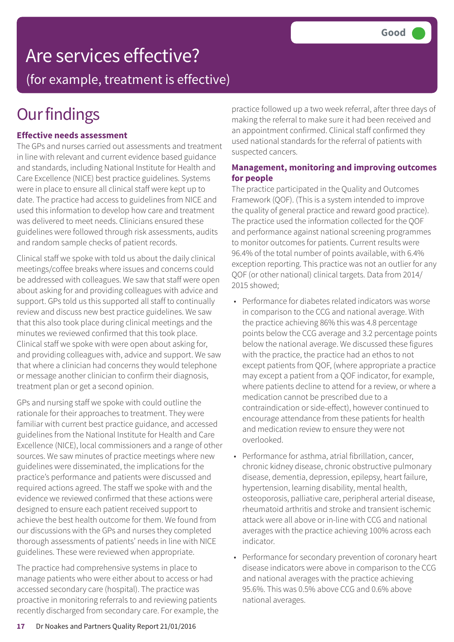## Are services effective?

(for example, treatment is effective)

## **Our findings**

### **Effective needs assessment**

The GPs and nurses carried out assessments and treatment in line with relevant and current evidence based guidance and standards, including National Institute for Health and Care Excellence (NICE) best practice guidelines. Systems were in place to ensure all clinical staff were kept up to date. The practice had access to guidelines from NICE and used this information to develop how care and treatment was delivered to meet needs. Clinicians ensured these guidelines were followed through risk assessments, audits and random sample checks of patient records.

Clinical staff we spoke with told us about the daily clinical meetings/coffee breaks where issues and concerns could be addressed with colleagues. We saw that staff were open about asking for and providing colleagues with advice and support. GPs told us this supported all staff to continually review and discuss new best practice guidelines. We saw that this also took place during clinical meetings and the minutes we reviewed confirmed that this took place. Clinical staff we spoke with were open about asking for, and providing colleagues with, advice and support. We saw that where a clinician had concerns they would telephone or message another clinician to confirm their diagnosis, treatment plan or get a second opinion.

GPs and nursing staff we spoke with could outline the rationale for their approaches to treatment. They were familiar with current best practice guidance, and accessed guidelines from the National Institute for Health and Care Excellence (NICE), local commissioners and a range of other sources. We saw minutes of practice meetings where new guidelines were disseminated, the implications for the practice's performance and patients were discussed and required actions agreed. The staff we spoke with and the evidence we reviewed confirmed that these actions were designed to ensure each patient received support to achieve the best health outcome for them. We found from our discussions with the GPs and nurses they completed thorough assessments of patients' needs in line with NICE guidelines. These were reviewed when appropriate.

The practice had comprehensive systems in place to manage patients who were either about to access or had accessed secondary care (hospital). The practice was proactive in monitoring referrals to and reviewing patients recently discharged from secondary care. For example, the practice followed up a two week referral, after three days of making the referral to make sure it had been received and an appointment confirmed. Clinical staff confirmed they used national standards for the referral of patients with suspected cancers.

### **Management, monitoring and improving outcomes for people**

The practice participated in the Quality and Outcomes Framework (QOF). (This is a system intended to improve the quality of general practice and reward good practice). The practice used the information collected for the QOF and performance against national screening programmes to monitor outcomes for patients. Current results were 96.4% of the total number of points available, with 6.4% exception reporting. This practice was not an outlier for any QOF (or other national) clinical targets. Data from 2014/ 2015 showed;

- Performance for diabetes related indicators was worse in comparison to the CCG and national average. With the practice achieving 86% this was 4.8 percentage points below the CCG average and 3.2 percentage points below the national average. We discussed these figures with the practice, the practice had an ethos to not except patients from QOF, (where appropriate a practice may except a patient from a QOF indicator, for example, where patients decline to attend for a review, or where a medication cannot be prescribed due to a contraindication or side-effect), however continued to encourage attendance from these patients for health and medication review to ensure they were not overlooked.
- Performance for asthma, atrial fibrillation, cancer, chronic kidney disease, chronic obstructive pulmonary disease, dementia, depression, epilepsy, heart failure, hypertension, learning disability, mental health, osteoporosis, palliative care, peripheral arterial disease, rheumatoid arthritis and stroke and transient ischemic attack were all above or in-line with CCG and national averages with the practice achieving 100% across each indicator.
- Performance for secondary prevention of coronary heart disease indicators were above in comparison to the CCG and national averages with the practice achieving 95.6%. This was 0.5% above CCG and 0.6% above national averages.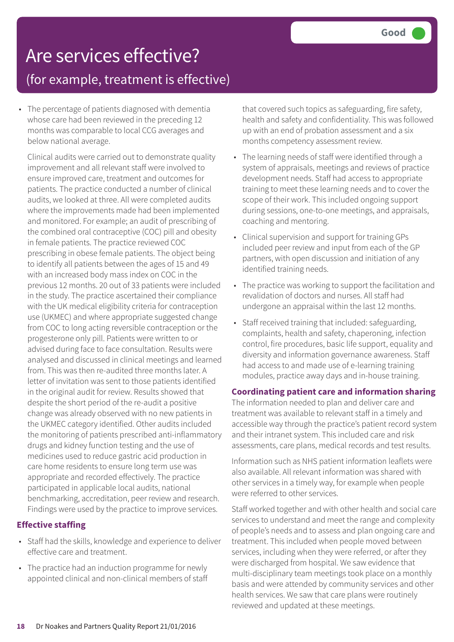## Are services effective?

(for example, treatment is effective)

• The percentage of patients diagnosed with dementia whose care had been reviewed in the preceding 12 months was comparable to local CCG averages and below national average.

Clinical audits were carried out to demonstrate quality improvement and all relevant staff were involved to ensure improved care, treatment and outcomes for patients. The practice conducted a number of clinical audits, we looked at three. All were completed audits where the improvements made had been implemented and monitored. For example; an audit of prescribing of the combined oral contraceptive (COC) pill and obesity in female patients. The practice reviewed COC prescribing in obese female patients. The object being to identify all patients between the ages of 15 and 49 with an increased body mass index on COC in the previous 12 months. 20 out of 33 patients were included in the study. The practice ascertained their compliance with the UK medical eligibility criteria for contraception use (UKMEC) and where appropriate suggested change from COC to long acting reversible contraception or the progesterone only pill. Patients were written to or advised during face to face consultation. Results were analysed and discussed in clinical meetings and learned from. This was then re-audited three months later. A letter of invitation was sent to those patients identified in the original audit for review. Results showed that despite the short period of the re-audit a positive change was already observed with no new patients in the UKMEC category identified. Other audits included the monitoring of patients prescribed anti-inflammatory drugs and kidney function testing and the use of medicines used to reduce gastric acid production in care home residents to ensure long term use was appropriate and recorded effectively. The practice participated in applicable local audits, national benchmarking, accreditation, peer review and research. Findings were used by the practice to improve services.

### **Effective staffing**

- Staff had the skills, knowledge and experience to deliver effective care and treatment.
- The practice had an induction programme for newly appointed clinical and non-clinical members of staff

that covered such topics as safeguarding, fire safety, health and safety and confidentiality. This was followed up with an end of probation assessment and a six months competency assessment review.

- The learning needs of staff were identified through a system of appraisals, meetings and reviews of practice development needs. Staff had access to appropriate training to meet these learning needs and to cover the scope of their work. This included ongoing support during sessions, one-to-one meetings, and appraisals, coaching and mentoring.
- Clinical supervision and support for training GPs included peer review and input from each of the GP partners, with open discussion and initiation of any identified training needs.
- The practice was working to support the facilitation and revalidation of doctors and nurses. All staff had undergone an appraisal within the last 12 months.
- Staff received training that included: safeguarding, complaints, health and safety, chaperoning, infection control, fire procedures, basic life support, equality and diversity and information governance awareness. Staff had access to and made use of e-learning training modules, practice away days and in-house training.

### **Coordinating patient care and information sharing**

The information needed to plan and deliver care and treatment was available to relevant staff in a timely and accessible way through the practice's patient record system and their intranet system. This included care and risk assessments, care plans, medical records and test results.

Information such as NHS patient information leaflets were also available. All relevant information was shared with other services in a timely way, for example when people were referred to other services.

Staff worked together and with other health and social care services to understand and meet the range and complexity of people's needs and to assess and plan ongoing care and treatment. This included when people moved between services, including when they were referred, or after they were discharged from hospital. We saw evidence that multi-disciplinary team meetings took place on a monthly basis and were attended by community services and other health services. We saw that care plans were routinely reviewed and updated at these meetings.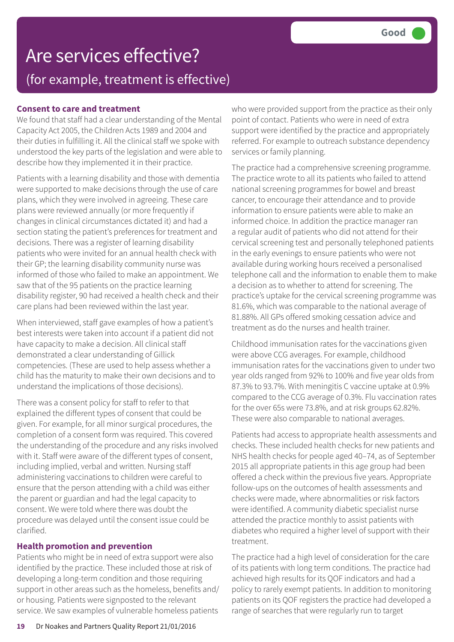## Are services effective? (for example, treatment is effective)

### **Consent to care and treatment**

We found that staff had a clear understanding of the Mental Capacity Act 2005, the Children Acts 1989 and 2004 and their duties in fulfilling it. All the clinical staff we spoke with understood the key parts of the legislation and were able to describe how they implemented it in their practice.

Patients with a learning disability and those with dementia were supported to make decisions through the use of care plans, which they were involved in agreeing. These care plans were reviewed annually (or more frequently if changes in clinical circumstances dictated it) and had a section stating the patient's preferences for treatment and decisions. There was a register of learning disability patients who were invited for an annual health check with their GP; the learning disability community nurse was informed of those who failed to make an appointment. We saw that of the 95 patients on the practice learning disability register, 90 had received a health check and their care plans had been reviewed within the last year.

When interviewed, staff gave examples of how a patient's best interests were taken into account if a patient did not have capacity to make a decision. All clinical staff demonstrated a clear understanding of Gillick competencies. (These are used to help assess whether a child has the maturity to make their own decisions and to understand the implications of those decisions).

There was a consent policy for staff to refer to that explained the different types of consent that could be given. For example, for all minor surgical procedures, the completion of a consent form was required. This covered the understanding of the procedure and any risks involved with it. Staff were aware of the different types of consent, including implied, verbal and written. Nursing staff administering vaccinations to children were careful to ensure that the person attending with a child was either the parent or guardian and had the legal capacity to consent. We were told where there was doubt the procedure was delayed until the consent issue could be clarified.

### **Health promotion and prevention**

Patients who might be in need of extra support were also identified by the practice. These included those at risk of developing a long-term condition and those requiring support in other areas such as the homeless, benefits and/ or housing. Patients were signposted to the relevant service. We saw examples of vulnerable homeless patients

who were provided support from the practice as their only point of contact. Patients who were in need of extra support were identified by the practice and appropriately referred. For example to outreach substance dependency services or family planning.

The practice had a comprehensive screening programme. The practice wrote to all its patients who failed to attend national screening programmes for bowel and breast cancer, to encourage their attendance and to provide information to ensure patients were able to make an informed choice. In addition the practice manager ran a regular audit of patients who did not attend for their cervical screening test and personally telephoned patients in the early evenings to ensure patients who were not available during working hours received a personalised telephone call and the information to enable them to make a decision as to whether to attend for screening. The practice's uptake for the cervical screening programme was 81.6%, which was comparable to the national average of 81.88%. All GPs offered smoking cessation advice and treatment as do the nurses and health trainer.

Childhood immunisation rates for the vaccinations given were above CCG averages. For example, childhood immunisation rates for the vaccinations given to under two year olds ranged from 92% to 100% and five year olds from 87.3% to 93.7%. With meningitis C vaccine uptake at 0.9% compared to the CCG average of 0.3%. Flu vaccination rates for the over 65s were 73.8%, and at risk groups 62.82%. These were also comparable to national averages.

Patients had access to appropriate health assessments and checks. These included health checks for new patients and NHS health checks for people aged 40–74, as of September 2015 all appropriate patients in this age group had been offered a check within the previous five years. Appropriate follow-ups on the outcomes of health assessments and checks were made, where abnormalities or risk factors were identified. A community diabetic specialist nurse attended the practice monthly to assist patients with diabetes who required a higher level of support with their treatment.

The practice had a high level of consideration for the care of its patients with long term conditions. The practice had achieved high results for its QOF indicators and had a policy to rarely exempt patients. In addition to monitoring patients on its QOF registers the practice had developed a range of searches that were regularly run to target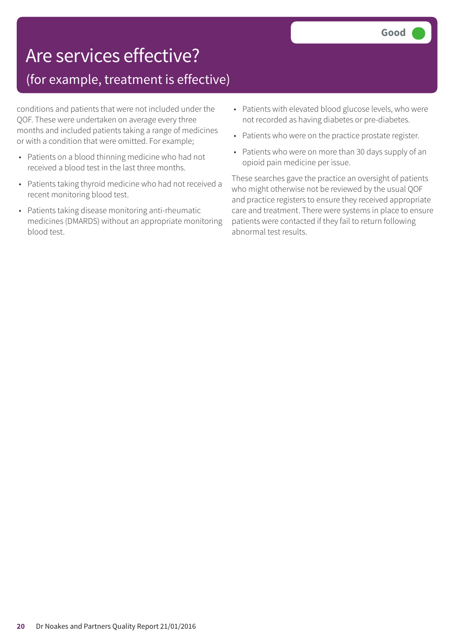## Are services effective?

### (for example, treatment is effective)

conditions and patients that were not included under the QOF. These were undertaken on average every three months and included patients taking a range of medicines or with a condition that were omitted. For example;

- Patients on a blood thinning medicine who had not received a blood test in the last three months.
- Patients taking thyroid medicine who had not received a recent monitoring blood test.
- Patients taking disease monitoring anti-rheumatic medicines (DMARDS) without an appropriate monitoring blood test.
- Patients with elevated blood glucose levels, who were not recorded as having diabetes or pre-diabetes.
- Patients who were on the practice prostate register.
- Patients who were on more than 30 days supply of an opioid pain medicine per issue.

These searches gave the practice an oversight of patients who might otherwise not be reviewed by the usual QOF and practice registers to ensure they received appropriate care and treatment. There were systems in place to ensure patients were contacted if they fail to return following abnormal test results.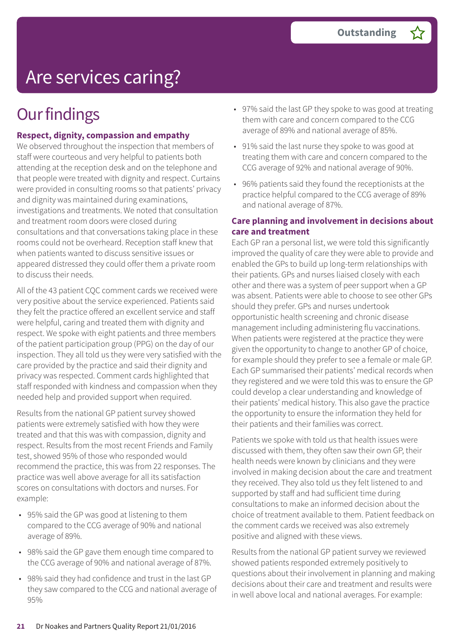## Are services caring?

## **Our findings**

### **Respect, dignity, compassion and empathy**

We observed throughout the inspection that members of staff were courteous and very helpful to patients both attending at the reception desk and on the telephone and that people were treated with dignity and respect. Curtains were provided in consulting rooms so that patients' privacy and dignity was maintained during examinations, investigations and treatments. We noted that consultation and treatment room doors were closed during consultations and that conversations taking place in these rooms could not be overheard. Reception staff knew that when patients wanted to discuss sensitive issues or appeared distressed they could offer them a private room to discuss their needs.

All of the 43 patient CQC comment cards we received were very positive about the service experienced. Patients said they felt the practice offered an excellent service and staff were helpful, caring and treated them with dignity and respect. We spoke with eight patients and three members of the patient participation group (PPG) on the day of our inspection. They all told us they were very satisfied with the care provided by the practice and said their dignity and privacy was respected. Comment cards highlighted that staff responded with kindness and compassion when they needed help and provided support when required.

Results from the national GP patient survey showed patients were extremely satisfied with how they were treated and that this was with compassion, dignity and respect. Results from the most recent Friends and Family test, showed 95% of those who responded would recommend the practice, this was from 22 responses. The practice was well above average for all its satisfaction scores on consultations with doctors and nurses. For example:

- 95% said the GP was good at listening to them compared to the CCG average of 90% and national average of 89%.
- 98% said the GP gave them enough time compared to the CCG average of 90% and national average of 87%.
- 98% said they had confidence and trust in the last GP they saw compared to the CCG and national average of 95%
- 97% said the last GP they spoke to was good at treating them with care and concern compared to the CCG average of 89% and national average of 85%.
- 91% said the last nurse they spoke to was good at treating them with care and concern compared to the CCG average of 92% and national average of 90%.
- 96% patients said they found the receptionists at the practice helpful compared to the CCG average of 89% and national average of 87%.

### **Care planning and involvement in decisions about care and treatment**

Each GP ran a personal list, we were told this significantly improved the quality of care they were able to provide and enabled the GPs to build up long-term relationships with their patients. GPs and nurses liaised closely with each other and there was a system of peer support when a GP was absent. Patients were able to choose to see other GPs should they prefer. GPs and nurses undertook opportunistic health screening and chronic disease management including administering flu vaccinations. When patients were registered at the practice they were given the opportunity to change to another GP of choice, for example should they prefer to see a female or male GP. Each GP summarised their patients' medical records when they registered and we were told this was to ensure the GP could develop a clear understanding and knowledge of their patients' medical history. This also gave the practice the opportunity to ensure the information they held for their patients and their families was correct.

Patients we spoke with told us that health issues were discussed with them, they often saw their own GP, their health needs were known by clinicians and they were involved in making decision about the care and treatment they received. They also told us they felt listened to and supported by staff and had sufficient time during consultations to make an informed decision about the choice of treatment available to them. Patient feedback on the comment cards we received was also extremely positive and aligned with these views.

Results from the national GP patient survey we reviewed showed patients responded extremely positively to questions about their involvement in planning and making decisions about their care and treatment and results were in well above local and national averages. For example: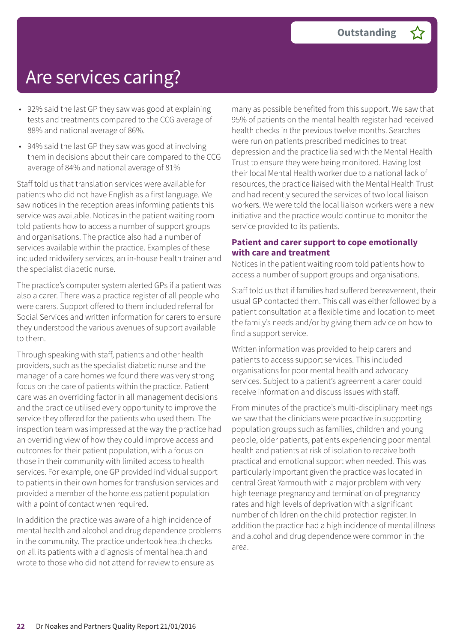## Are services caring?

- 92% said the last GP they saw was good at explaining tests and treatments compared to the CCG average of 88% and national average of 86%.
- 94% said the last GP they saw was good at involving them in decisions about their care compared to the CCG average of 84% and national average of 81%

Staff told us that translation services were available for patients who did not have English as a first language. We saw notices in the reception areas informing patients this service was available. Notices in the patient waiting room told patients how to access a number of support groups and organisations. The practice also had a number of services available within the practice. Examples of these included midwifery services, an in-house health trainer and the specialist diabetic nurse.

The practice's computer system alerted GPs if a patient was also a carer. There was a practice register of all people who were carers. Support offered to them included referral for Social Services and written information for carers to ensure they understood the various avenues of support available to them.

Through speaking with staff, patients and other health providers, such as the specialist diabetic nurse and the manager of a care homes we found there was very strong focus on the care of patients within the practice. Patient care was an overriding factor in all management decisions and the practice utilised every opportunity to improve the service they offered for the patients who used them. The inspection team was impressed at the way the practice had an overriding view of how they could improve access and outcomes for their patient population, with a focus on those in their community with limited access to health services. For example, one GP provided individual support to patients in their own homes for transfusion services and provided a member of the homeless patient population with a point of contact when required.

In addition the practice was aware of a high incidence of mental health and alcohol and drug dependence problems in the community. The practice undertook health checks on all its patients with a diagnosis of mental health and wrote to those who did not attend for review to ensure as

many as possible benefited from this support. We saw that 95% of patients on the mental health register had received health checks in the previous twelve months. Searches were run on patients prescribed medicines to treat depression and the practice liaised with the Mental Health Trust to ensure they were being monitored. Having lost their local Mental Health worker due to a national lack of resources, the practice liaised with the Mental Health Trust and had recently secured the services of two local liaison workers. We were told the local liaison workers were a new initiative and the practice would continue to monitor the service provided to its patients.

### **Patient and carer support to cope emotionally with care and treatment**

Notices in the patient waiting room told patients how to access a number of support groups and organisations.

Staff told us that if families had suffered bereavement, their usual GP contacted them. This call was either followed by a patient consultation at a flexible time and location to meet the family's needs and/or by giving them advice on how to find a support service.

Written information was provided to help carers and patients to access support services. This included organisations for poor mental health and advocacy services. Subject to a patient's agreement a carer could receive information and discuss issues with staff.

From minutes of the practice's multi-disciplinary meetings we saw that the clinicians were proactive in supporting population groups such as families, children and young people, older patients, patients experiencing poor mental health and patients at risk of isolation to receive both practical and emotional support when needed. This was particularly important given the practice was located in central Great Yarmouth with a major problem with very high teenage pregnancy and termination of pregnancy rates and high levels of deprivation with a significant number of children on the child protection register. In addition the practice had a high incidence of mental illness and alcohol and drug dependence were common in the area.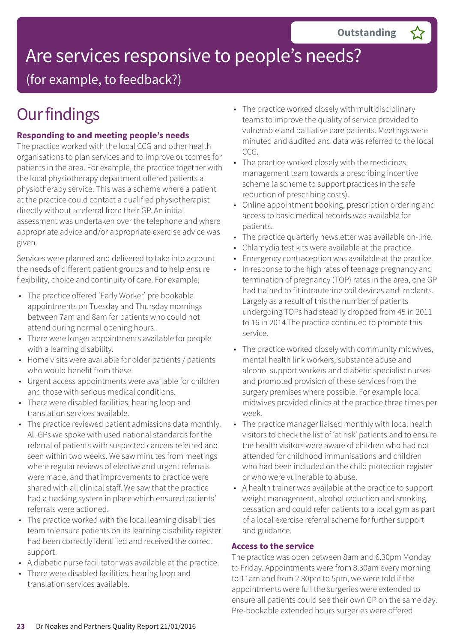(for example, to feedback?)

## **Our findings**

### **Responding to and meeting people's needs**

The practice worked with the local CCG and other health organisations to plan services and to improve outcomes for patients in the area. For example, the practice together with the local physiotherapy department offered patients a physiotherapy service. This was a scheme where a patient at the practice could contact a qualified physiotherapist directly without a referral from their GP. An initial assessment was undertaken over the telephone and where appropriate advice and/or appropriate exercise advice was given.

Services were planned and delivered to take into account the needs of different patient groups and to help ensure flexibility, choice and continuity of care. For example;

- The practice offered 'Early Worker' pre bookable appointments on Tuesday and Thursday mornings between 7am and 8am for patients who could not attend during normal opening hours.
- There were longer appointments available for people with a learning disability.
- Home visits were available for older patients / patients who would benefit from these.
- Urgent access appointments were available for children and those with serious medical conditions.
- There were disabled facilities, hearing loop and translation services available.
- The practice reviewed patient admissions data monthly. All GPs we spoke with used national standards for the referral of patients with suspected cancers referred and seen within two weeks. We saw minutes from meetings where regular reviews of elective and urgent referrals were made, and that improvements to practice were shared with all clinical staff. We saw that the practice had a tracking system in place which ensured patients' referrals were actioned.
- The practice worked with the local learning disabilities team to ensure patients on its learning disability register had been correctly identified and received the correct support.
- A diabetic nurse facilitator was available at the practice.
- There were disabled facilities, hearing loop and translation services available.
- The practice worked closely with multidisciplinary teams to improve the quality of service provided to vulnerable and palliative care patients. Meetings were minuted and audited and data was referred to the local CCG.
- The practice worked closely with the medicines management team towards a prescribing incentive scheme (a scheme to support practices in the safe reduction of prescribing costs).
- Online appointment booking, prescription ordering and access to basic medical records was available for patients.
- The practice quarterly newsletter was available on-line.
- Chlamydia test kits were available at the practice.
- Emergency contraception was available at the practice.
- In response to the high rates of teenage pregnancy and termination of pregnancy (TOP) rates in the area, one GP had trained to fit intrauterine coil devices and implants. Largely as a result of this the number of patients undergoing TOPs had steadily dropped from 45 in 2011 to 16 in 2014.The practice continued to promote this service.
- The practice worked closely with community midwives, mental health link workers, substance abuse and alcohol support workers and diabetic specialist nurses and promoted provision of these services from the surgery premises where possible. For example local midwives provided clinics at the practice three times per week.
- The practice manager liaised monthly with local health visitors to check the list of 'at risk' patients and to ensure the health visitors were aware of children who had not attended for childhood immunisations and children who had been included on the child protection register or who were vulnerable to abuse.
- A health trainer was available at the practice to support weight management, alcohol reduction and smoking cessation and could refer patients to a local gym as part of a local exercise referral scheme for further support and guidance.

### **Access to the service**

The practice was open between 8am and 6.30pm Monday to Friday. Appointments were from 8.30am every morning to 11am and from 2.30pm to 5pm, we were told if the appointments were full the surgeries were extended to ensure all patients could see their own GP on the same day. Pre-bookable extended hours surgeries were offered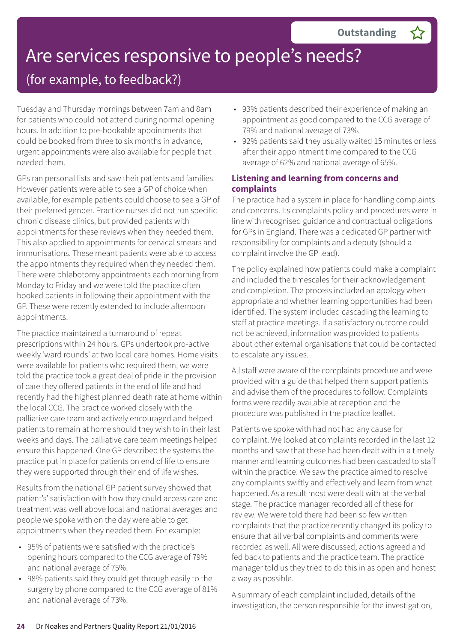### (for example, to feedback?)

Tuesday and Thursday mornings between 7am and 8am for patients who could not attend during normal opening hours. In addition to pre-bookable appointments that could be booked from three to six months in advance, urgent appointments were also available for people that needed them.

GPs ran personal lists and saw their patients and families. However patients were able to see a GP of choice when available, for example patients could choose to see a GP of their preferred gender. Practice nurses did not run specific chronic disease clinics, but provided patients with appointments for these reviews when they needed them. This also applied to appointments for cervical smears and immunisations. These meant patients were able to access the appointments they required when they needed them. There were phlebotomy appointments each morning from Monday to Friday and we were told the practice often booked patients in following their appointment with the GP. These were recently extended to include afternoon appointments.

The practice maintained a turnaround of repeat prescriptions within 24 hours. GPs undertook pro-active weekly 'ward rounds' at two local care homes. Home visits were available for patients who required them, we were told the practice took a great deal of pride in the provision of care they offered patients in the end of life and had recently had the highest planned death rate at home within the local CCG. The practice worked closely with the palliative care team and actively encouraged and helped patients to remain at home should they wish to in their last weeks and days. The palliative care team meetings helped ensure this happened. One GP described the systems the practice put in place for patients on end of life to ensure they were supported through their end of life wishes.

Results from the national GP patient survey showed that patient's' satisfaction with how they could access care and treatment was well above local and national averages and people we spoke with on the day were able to get appointments when they needed them. For example:

- 95% of patients were satisfied with the practice's opening hours compared to the CCG average of 79% and national average of 75%.
- 98% patients said they could get through easily to the surgery by phone compared to the CCG average of 81% and national average of 73%.
- 93% patients described their experience of making an appointment as good compared to the CCG average of 79% and national average of 73%.
- 92% patients said they usually waited 15 minutes or less after their appointment time compared to the CCG average of 62% and national average of 65%.

### **Listening and learning from concerns and complaints**

The practice had a system in place for handling complaints and concerns. Its complaints policy and procedures were in line with recognised guidance and contractual obligations for GPs in England. There was a dedicated GP partner with responsibility for complaints and a deputy (should a complaint involve the GP lead).

The policy explained how patients could make a complaint and included the timescales for their acknowledgement and completion. The process included an apology when appropriate and whether learning opportunities had been identified. The system included cascading the learning to staff at practice meetings. If a satisfactory outcome could not be achieved, information was provided to patients about other external organisations that could be contacted to escalate any issues.

All staff were aware of the complaints procedure and were provided with a guide that helped them support patients and advise them of the procedures to follow. Complaints forms were readily available at reception and the procedure was published in the practice leaflet.

Patients we spoke with had not had any cause for complaint. We looked at complaints recorded in the last 12 months and saw that these had been dealt with in a timely manner and learning outcomes had been cascaded to staff within the practice. We saw the practice aimed to resolve any complaints swiftly and effectively and learn from what happened. As a result most were dealt with at the verbal stage. The practice manager recorded all of these for review. We were told there had been so few written complaints that the practice recently changed its policy to ensure that all verbal complaints and comments were recorded as well. All were discussed; actions agreed and fed back to patients and the practice team. The practice manager told us they tried to do this in as open and honest a way as possible.

A summary of each complaint included, details of the investigation, the person responsible for the investigation,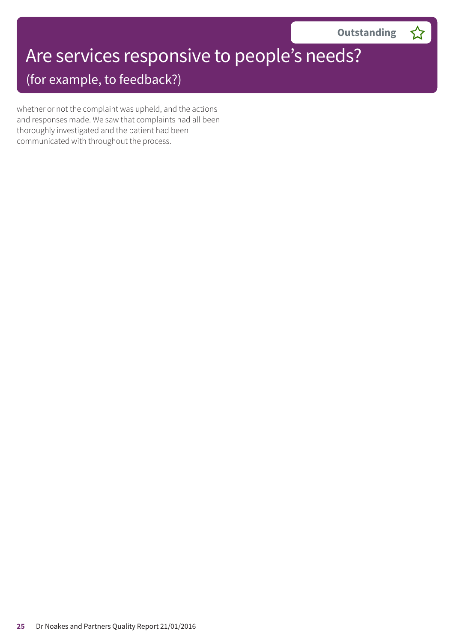(for example, to feedback?)

whether or not the complaint was upheld, and the actions and responses made. We saw that complaints had all been thoroughly investigated and the patient had been communicated with throughout the process.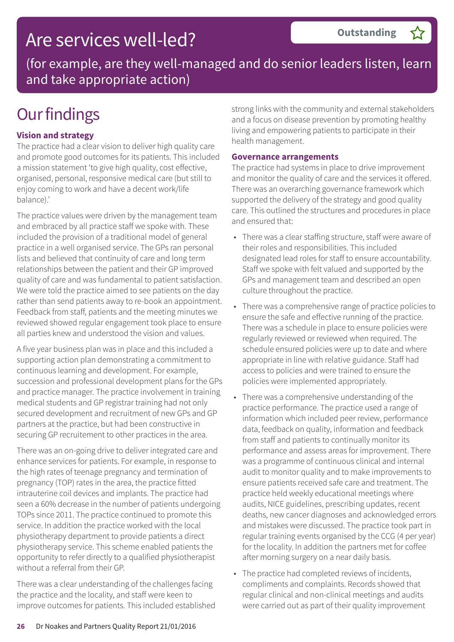## Are services well-led?

(for example, are they well-managed and do senior leaders listen, learn and take appropriate action)

## **Our findings**

### **Vision and strategy**

The practice had a clear vision to deliver high quality care and promote good outcomes for its patients. This included a mission statement 'to give high quality, cost effective, organised, personal, responsive medical care (but still to enjoy coming to work and have a decent work/life balance).'

The practice values were driven by the management team and embraced by all practice staff we spoke with. These included the provision of a traditional model of general practice in a well organised service. The GPs ran personal lists and believed that continuity of care and long term relationships between the patient and their GP improved quality of care and was fundamental to patient satisfaction. We were told the practice aimed to see patients on the day rather than send patients away to re-book an appointment. Feedback from staff, patients and the meeting minutes we reviewed showed regular engagement took place to ensure all parties knew and understood the vision and values.

A five year business plan was in place and this included a supporting action plan demonstrating a commitment to continuous learning and development. For example, succession and professional development plans for the GPs and practice manager. The practice involvement in training medical students and GP registrar training had not only secured development and recruitment of new GPs and GP partners at the practice, but had been constructive in securing GP recruitement to other practices in the area.

There was an on-going drive to deliver integrated care and enhance services for patients. For example, in response to the high rates of teenage pregnancy and termination of pregnancy (TOP) rates in the area, the practice fitted intrauterine coil devices and implants. The practice had seen a 60% decrease in the number of patients undergoing TOPs since 2011. The practice continued to promote this service. In addition the practice worked with the local physiotherapy department to provide patients a direct physiotherapy service. This scheme enabled patients the opportunity to refer directly to a qualified physiotherapist without a referral from their GP.

There was a clear understanding of the challenges facing the practice and the locality, and staff were keen to improve outcomes for patients. This included established strong links with the community and external stakeholders and a focus on disease prevention by promoting healthy living and empowering patients to participate in their health management.

### **Governance arrangements**

The practice had systems in place to drive improvement and monitor the quality of care and the services it offered. There was an overarching governance framework which supported the delivery of the strategy and good quality care. This outlined the structures and procedures in place and ensured that:

- There was a clear staffing structure, staff were aware of their roles and responsibilities. This included designated lead roles for staff to ensure accountability. Staff we spoke with felt valued and supported by the GPs and management team and described an open culture throughout the practice.
- There was a comprehensive range of practice policies to ensure the safe and effective running of the practice. There was a schedule in place to ensure policies were regularly reviewed or reviewed when required. The schedule ensured policies were up to date and where appropriate in line with relative guidance. Staff had access to policies and were trained to ensure the policies were implemented appropriately.
- There was a comprehensive understanding of the practice performance. The practice used a range of information which included peer review, performance data, feedback on quality, information and feedback from staff and patients to continually monitor its performance and assess areas for improvement. There was a programme of continuous clinical and internal audit to monitor quality and to make improvements to ensure patients received safe care and treatment. The practice held weekly educational meetings where audits, NICE guidelines, prescribing updates, recent deaths, new cancer diagnoses and acknowledged errors and mistakes were discussed. The practice took part in regular training events organised by the CCG (4 per year) for the locality. In addition the partners met for coffee after morning surgery on a near daily basis.
- The practice had completed reviews of incidents, compliments and complaints. Records showed that regular clinical and non-clinical meetings and audits were carried out as part of their quality improvement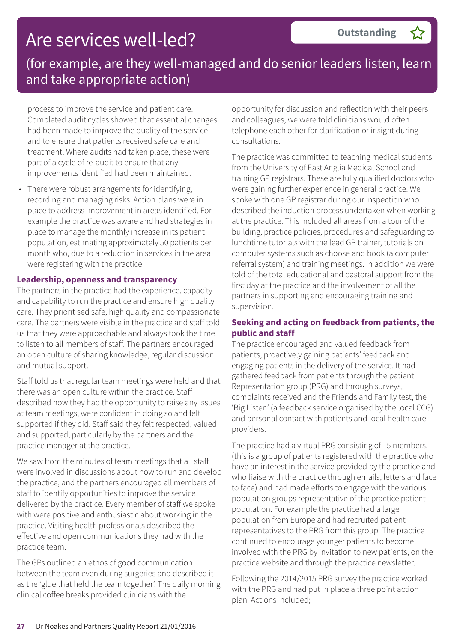## Are services well-led?

(for example, are they well-managed and do senior leaders listen, learn and take appropriate action)

process to improve the service and patient care. Completed audit cycles showed that essential changes had been made to improve the quality of the service and to ensure that patients received safe care and treatment. Where audits had taken place, these were part of a cycle of re-audit to ensure that any improvements identified had been maintained.

• There were robust arrangements for identifying, recording and managing risks. Action plans were in place to address improvement in areas identified. For example the practice was aware and had strategies in place to manage the monthly increase in its patient population, estimating approximately 50 patients per month who, due to a reduction in services in the area were registering with the practice.

### **Leadership, openness and transparency**

The partners in the practice had the experience, capacity and capability to run the practice and ensure high quality care. They prioritised safe, high quality and compassionate care. The partners were visible in the practice and staff told us that they were approachable and always took the time to listen to all members of staff. The partners encouraged an open culture of sharing knowledge, regular discussion and mutual support.

Staff told us that regular team meetings were held and that there was an open culture within the practice. Staff described how they had the opportunity to raise any issues at team meetings, were confident in doing so and felt supported if they did. Staff said they felt respected, valued and supported, particularly by the partners and the practice manager at the practice.

We saw from the minutes of team meetings that all staff were involved in discussions about how to run and develop the practice, and the partners encouraged all members of staff to identify opportunities to improve the service delivered by the practice. Every member of staff we spoke with were positive and enthusiastic about working in the practice. Visiting health professionals described the effective and open communications they had with the practice team.

The GPs outlined an ethos of good communication between the team even during surgeries and described it as the 'glue that held the team together'. The daily morning clinical coffee breaks provided clinicians with the

opportunity for discussion and reflection with their peers and colleagues; we were told clinicians would often telephone each other for clarification or insight during consultations.

The practice was committed to teaching medical students from the University of East Anglia Medical School and training GP registrars. These are fully qualified doctors who were gaining further experience in general practice. We spoke with one GP registrar during our inspection who described the induction process undertaken when working at the practice. This included all areas from a tour of the building, practice policies, procedures and safeguarding to lunchtime tutorials with the lead GP trainer, tutorials on computer systems such as choose and book (a computer referral system) and training meetings. In addition we were told of the total educational and pastoral support from the first day at the practice and the involvement of all the partners in supporting and encouraging training and supervision.

### **Seeking and acting on feedback from patients, the public and staff**

The practice encouraged and valued feedback from patients, proactively gaining patients' feedback and engaging patients in the delivery of the service. It had gathered feedback from patients through the patient Representation group (PRG) and through surveys, complaints received and the Friends and Family test, the 'Big Listen' (a feedback service organised by the local CCG) and personal contact with patients and local health care providers.

The practice had a virtual PRG consisting of 15 members, (this is a group of patients registered with the practice who have an interest in the service provided by the practice and who liaise with the practice through emails, letters and face to face) and had made efforts to engage with the various population groups representative of the practice patient population. For example the practice had a large population from Europe and had recruited patient representatives to the PRG from this group. The practice continued to encourage younger patients to become involved with the PRG by invitation to new patients, on the practice website and through the practice newsletter.

Following the 2014/2015 PRG survey the practice worked with the PRG and had put in place a three point action plan. Actions included;